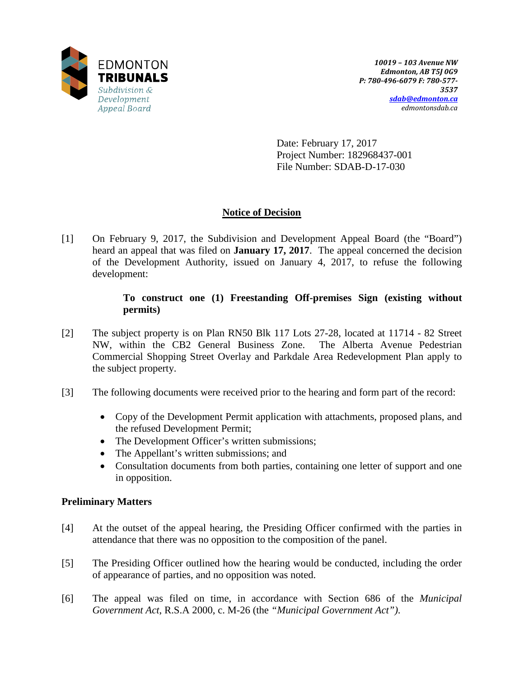

Date: February 17, 2017 Project Number: 182968437-001 File Number: SDAB-D-17-030

# **Notice of Decision**

[1] On February 9, 2017, the Subdivision and Development Appeal Board (the "Board") heard an appeal that was filed on **January 17, 2017**. The appeal concerned the decision of the Development Authority, issued on January 4, 2017, to refuse the following development:

### **To construct one (1) Freestanding Off-premises Sign (existing without permits)**

- [2] The subject property is on Plan RN50 Blk 117 Lots 27-28, located at 11714 82 Street NW, within the CB2 General Business Zone. The Alberta Avenue Pedestrian Commercial Shopping Street Overlay and Parkdale Area Redevelopment Plan apply to the subject property.
- [3] The following documents were received prior to the hearing and form part of the record:
	- Copy of the Development Permit application with attachments, proposed plans, and the refused Development Permit;
	- The Development Officer's written submissions;
	- The Appellant's written submissions; and
	- Consultation documents from both parties, containing one letter of support and one in opposition.

### **Preliminary Matters**

- [4] At the outset of the appeal hearing, the Presiding Officer confirmed with the parties in attendance that there was no opposition to the composition of the panel.
- [5] The Presiding Officer outlined how the hearing would be conducted, including the order of appearance of parties, and no opposition was noted.
- [6] The appeal was filed on time, in accordance with Section 686 of the *Municipal Government Act*, R.S.A 2000, c. M-26 (the *"Municipal Government Act")*.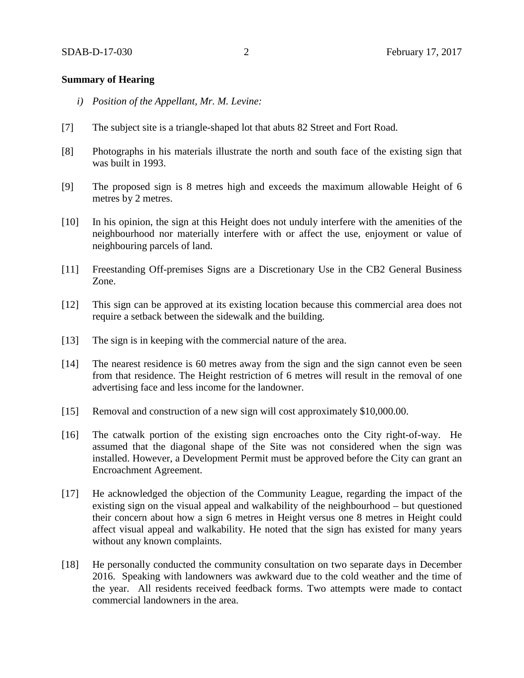#### **Summary of Hearing**

- *i) Position of the Appellant, Mr. M. Levine:*
- [7] The subject site is a triangle-shaped lot that abuts 82 Street and Fort Road.
- [8] Photographs in his materials illustrate the north and south face of the existing sign that was built in 1993.
- [9] The proposed sign is 8 metres high and exceeds the maximum allowable Height of 6 metres by 2 metres.
- [10] In his opinion, the sign at this Height does not unduly interfere with the amenities of the neighbourhood nor materially interfere with or affect the use, enjoyment or value of neighbouring parcels of land.
- [11] Freestanding Off-premises Signs are a Discretionary Use in the CB2 General Business Zone.
- [12] This sign can be approved at its existing location because this commercial area does not require a setback between the sidewalk and the building.
- [13] The sign is in keeping with the commercial nature of the area.
- [14] The nearest residence is 60 metres away from the sign and the sign cannot even be seen from that residence. The Height restriction of 6 metres will result in the removal of one advertising face and less income for the landowner.
- [15] Removal and construction of a new sign will cost approximately \$10,000.00.
- [16] The catwalk portion of the existing sign encroaches onto the City right-of-way. He assumed that the diagonal shape of the Site was not considered when the sign was installed. However, a Development Permit must be approved before the City can grant an Encroachment Agreement.
- [17] He acknowledged the objection of the Community League, regarding the impact of the existing sign on the visual appeal and walkability of the neighbourhood – but questioned their concern about how a sign 6 metres in Height versus one 8 metres in Height could affect visual appeal and walkability. He noted that the sign has existed for many years without any known complaints.
- [18] He personally conducted the community consultation on two separate days in December 2016. Speaking with landowners was awkward due to the cold weather and the time of the year. All residents received feedback forms. Two attempts were made to contact commercial landowners in the area.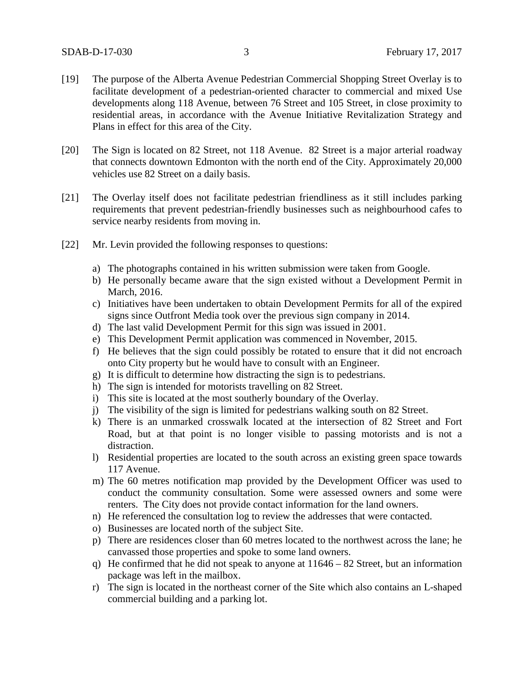- [19] The purpose of the Alberta Avenue Pedestrian Commercial Shopping Street Overlay is to facilitate development of a pedestrian-oriented character to commercial and mixed Use developments along 118 Avenue, between 76 Street and 105 Street, in close proximity to residential areas, in accordance with the Avenue Initiative Revitalization Strategy and Plans in effect for this area of the City.
- [20] The Sign is located on 82 Street, not 118 Avenue. 82 Street is a major arterial roadway that connects downtown Edmonton with the north end of the City. Approximately 20,000 vehicles use 82 Street on a daily basis.
- [21] The Overlay itself does not facilitate pedestrian friendliness as it still includes parking requirements that prevent pedestrian-friendly businesses such as neighbourhood cafes to service nearby residents from moving in.
- [22] Mr. Levin provided the following responses to questions:
	- a) The photographs contained in his written submission were taken from Google.
	- b) He personally became aware that the sign existed without a Development Permit in March, 2016.
	- c) Initiatives have been undertaken to obtain Development Permits for all of the expired signs since Outfront Media took over the previous sign company in 2014.
	- d) The last valid Development Permit for this sign was issued in 2001.
	- e) This Development Permit application was commenced in November, 2015.
	- f) He believes that the sign could possibly be rotated to ensure that it did not encroach onto City property but he would have to consult with an Engineer.
	- g) It is difficult to determine how distracting the sign is to pedestrians.
	- h) The sign is intended for motorists travelling on 82 Street.
	- i) This site is located at the most southerly boundary of the Overlay.
	- j) The visibility of the sign is limited for pedestrians walking south on 82 Street.
	- k) There is an unmarked crosswalk located at the intersection of 82 Street and Fort Road, but at that point is no longer visible to passing motorists and is not a distraction.
	- l) Residential properties are located to the south across an existing green space towards 117 Avenue.
	- m) The 60 metres notification map provided by the Development Officer was used to conduct the community consultation. Some were assessed owners and some were renters. The City does not provide contact information for the land owners.
	- n) He referenced the consultation log to review the addresses that were contacted.
	- o) Businesses are located north of the subject Site.
	- p) There are residences closer than 60 metres located to the northwest across the lane; he canvassed those properties and spoke to some land owners.
	- q) He confirmed that he did not speak to anyone at 11646 82 Street, but an information package was left in the mailbox.
	- r) The sign is located in the northeast corner of the Site which also contains an L-shaped commercial building and a parking lot.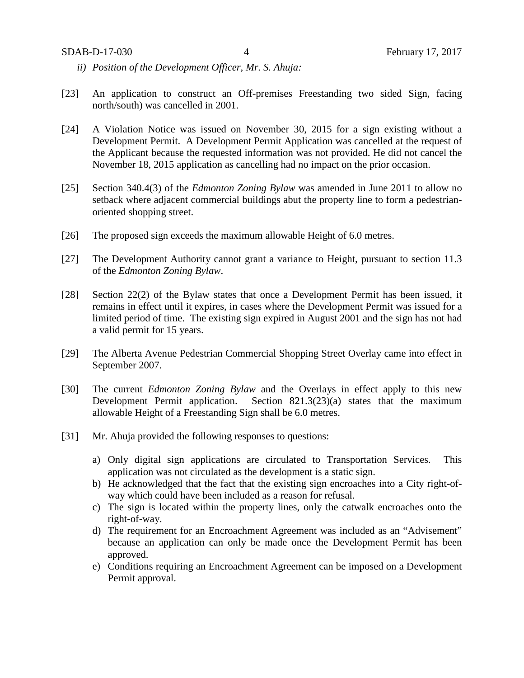- *ii) Position of the Development Officer, Mr. S. Ahuja:*
- [23] An application to construct an Off-premises Freestanding two sided Sign, facing north/south) was cancelled in 2001.
- [24] A Violation Notice was issued on November 30, 2015 for a sign existing without a Development Permit. A Development Permit Application was cancelled at the request of the Applicant because the requested information was not provided. He did not cancel the November 18, 2015 application as cancelling had no impact on the prior occasion.
- [25] Section 340.4(3) of the *Edmonton Zoning Bylaw* was amended in June 2011 to allow no setback where adjacent commercial buildings abut the property line to form a pedestrianoriented shopping street.
- [26] The proposed sign exceeds the maximum allowable Height of 6.0 metres.
- [27] The Development Authority cannot grant a variance to Height, pursuant to section 11.3 of the *Edmonton Zoning Bylaw*.
- [28] Section 22(2) of the Bylaw states that once a Development Permit has been issued, it remains in effect until it expires, in cases where the Development Permit was issued for a limited period of time. The existing sign expired in August 2001 and the sign has not had a valid permit for 15 years.
- [29] The Alberta Avenue Pedestrian Commercial Shopping Street Overlay came into effect in September 2007.
- [30] The current *Edmonton Zoning Bylaw* and the Overlays in effect apply to this new Development Permit application. Section 821.3(23)(a) states that the maximum allowable Height of a Freestanding Sign shall be 6.0 metres.
- [31] Mr. Ahuja provided the following responses to questions:
	- a) Only digital sign applications are circulated to Transportation Services. This application was not circulated as the development is a static sign.
	- b) He acknowledged that the fact that the existing sign encroaches into a City right-ofway which could have been included as a reason for refusal.
	- c) The sign is located within the property lines, only the catwalk encroaches onto the right-of-way.
	- d) The requirement for an Encroachment Agreement was included as an "Advisement" because an application can only be made once the Development Permit has been approved.
	- e) Conditions requiring an Encroachment Agreement can be imposed on a Development Permit approval.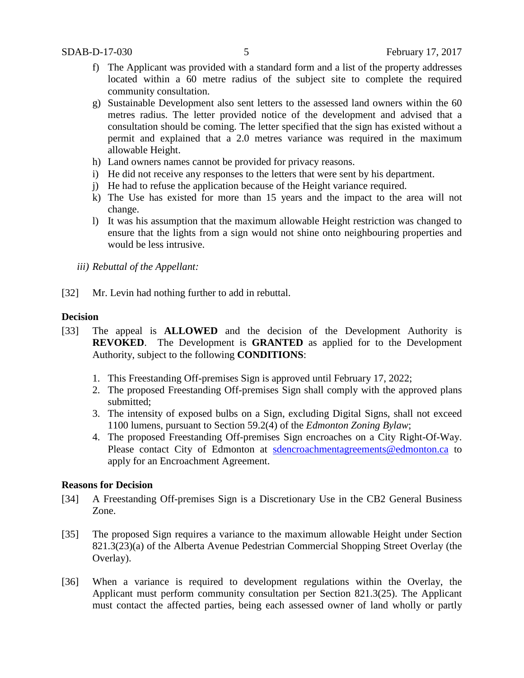- f) The Applicant was provided with a standard form and a list of the property addresses located within a 60 metre radius of the subject site to complete the required community consultation.
- g) Sustainable Development also sent letters to the assessed land owners within the 60 metres radius. The letter provided notice of the development and advised that a consultation should be coming. The letter specified that the sign has existed without a permit and explained that a 2.0 metres variance was required in the maximum allowable Height.
- h) Land owners names cannot be provided for privacy reasons.
- i) He did not receive any responses to the letters that were sent by his department.
- j) He had to refuse the application because of the Height variance required.
- k) The Use has existed for more than 15 years and the impact to the area will not change.
- l) It was his assumption that the maximum allowable Height restriction was changed to ensure that the lights from a sign would not shine onto neighbouring properties and would be less intrusive.
- *iii) Rebuttal of the Appellant:*
- [32] Mr. Levin had nothing further to add in rebuttal.

### **Decision**

- [33] The appeal is **ALLOWED** and the decision of the Development Authority is **REVOKED**. The Development is **GRANTED** as applied for to the Development Authority, subject to the following **CONDITIONS**:
	- 1. This Freestanding Off-premises Sign is approved until February 17, 2022;
	- 2. The proposed Freestanding Off-premises Sign shall comply with the approved plans submitted;
	- 3. The intensity of exposed bulbs on a Sign, excluding Digital Signs, shall not exceed 1100 lumens, pursuant to Section 59.2(4) of the *Edmonton Zoning Bylaw*;
	- 4. The proposed Freestanding Off-premises Sign encroaches on a City Right-Of-Way. Please contact City of Edmonton at [sdencroachmentagreements@edmonton.ca](mailto:sdencroachmentagreements@edmonton.ca) to apply for an Encroachment Agreement.

### **Reasons for Decision**

- [34] A Freestanding Off-premises Sign is a Discretionary Use in the CB2 General Business Zone.
- [35] The proposed Sign requires a variance to the maximum allowable Height under Section 821.3(23)(a) of the Alberta Avenue Pedestrian Commercial Shopping Street Overlay (the Overlay).
- [36] When a variance is required to development regulations within the Overlay, the Applicant must perform community consultation per Section 821.3(25). The Applicant must contact the affected parties, being each assessed owner of land wholly or partly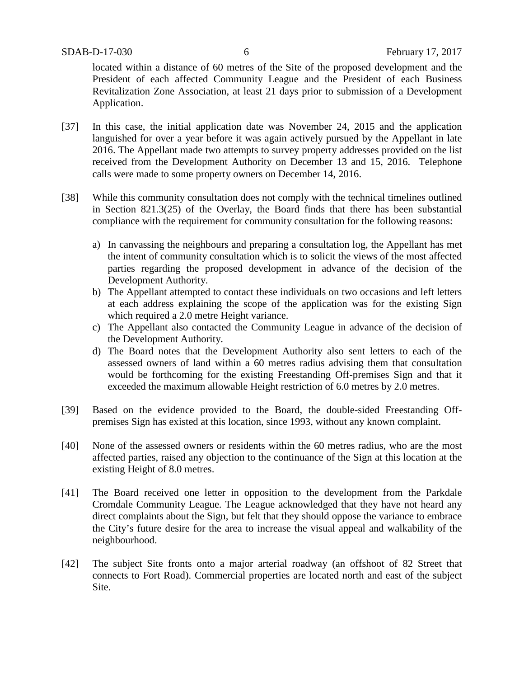located within a distance of 60 metres of the Site of the proposed development and the President of each affected Community League and the President of each Business Revitalization Zone Association, at least 21 days prior to submission of a Development Application.

- [37] In this case, the initial application date was November 24, 2015 and the application languished for over a year before it was again actively pursued by the Appellant in late 2016. The Appellant made two attempts to survey property addresses provided on the list received from the Development Authority on December 13 and 15, 2016. Telephone calls were made to some property owners on December 14, 2016.
- [38] While this community consultation does not comply with the technical timelines outlined in Section 821.3(25) of the Overlay, the Board finds that there has been substantial compliance with the requirement for community consultation for the following reasons:
	- a) In canvassing the neighbours and preparing a consultation log, the Appellant has met the intent of community consultation which is to solicit the views of the most affected parties regarding the proposed development in advance of the decision of the Development Authority.
	- b) The Appellant attempted to contact these individuals on two occasions and left letters at each address explaining the scope of the application was for the existing Sign which required a 2.0 metre Height variance.
	- c) The Appellant also contacted the Community League in advance of the decision of the Development Authority.
	- d) The Board notes that the Development Authority also sent letters to each of the assessed owners of land within a 60 metres radius advising them that consultation would be forthcoming for the existing Freestanding Off-premises Sign and that it exceeded the maximum allowable Height restriction of 6.0 metres by 2.0 metres.
- [39] Based on the evidence provided to the Board, the double-sided Freestanding Offpremises Sign has existed at this location, since 1993, without any known complaint.
- [40] None of the assessed owners or residents within the 60 metres radius, who are the most affected parties, raised any objection to the continuance of the Sign at this location at the existing Height of 8.0 metres.
- [41] The Board received one letter in opposition to the development from the Parkdale Cromdale Community League. The League acknowledged that they have not heard any direct complaints about the Sign, but felt that they should oppose the variance to embrace the City's future desire for the area to increase the visual appeal and walkability of the neighbourhood.
- [42] The subject Site fronts onto a major arterial roadway (an offshoot of 82 Street that connects to Fort Road). Commercial properties are located north and east of the subject Site.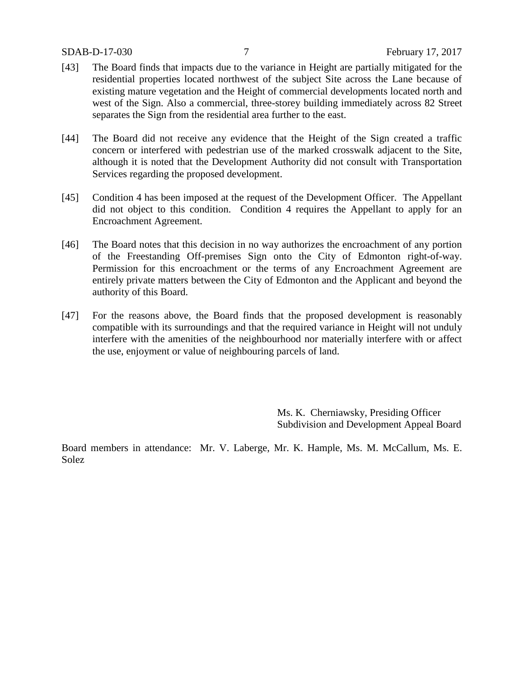- [43] The Board finds that impacts due to the variance in Height are partially mitigated for the residential properties located northwest of the subject Site across the Lane because of existing mature vegetation and the Height of commercial developments located north and west of the Sign. Also a commercial, three-storey building immediately across 82 Street separates the Sign from the residential area further to the east.
- [44] The Board did not receive any evidence that the Height of the Sign created a traffic concern or interfered with pedestrian use of the marked crosswalk adjacent to the Site, although it is noted that the Development Authority did not consult with Transportation Services regarding the proposed development.
- [45] Condition 4 has been imposed at the request of the Development Officer. The Appellant did not object to this condition. Condition 4 requires the Appellant to apply for an Encroachment Agreement.
- [46] The Board notes that this decision in no way authorizes the encroachment of any portion of the Freestanding Off-premises Sign onto the City of Edmonton right-of-way. Permission for this encroachment or the terms of any Encroachment Agreement are entirely private matters between the City of Edmonton and the Applicant and beyond the authority of this Board.
- [47] For the reasons above, the Board finds that the proposed development is reasonably compatible with its surroundings and that the required variance in Height will not unduly interfere with the amenities of the neighbourhood nor materially interfere with or affect the use, enjoyment or value of neighbouring parcels of land.

Ms. K. Cherniawsky, Presiding Officer Subdivision and Development Appeal Board

Board members in attendance: Mr. V. Laberge, Mr. K. Hample, Ms. M. McCallum, Ms. E. Solez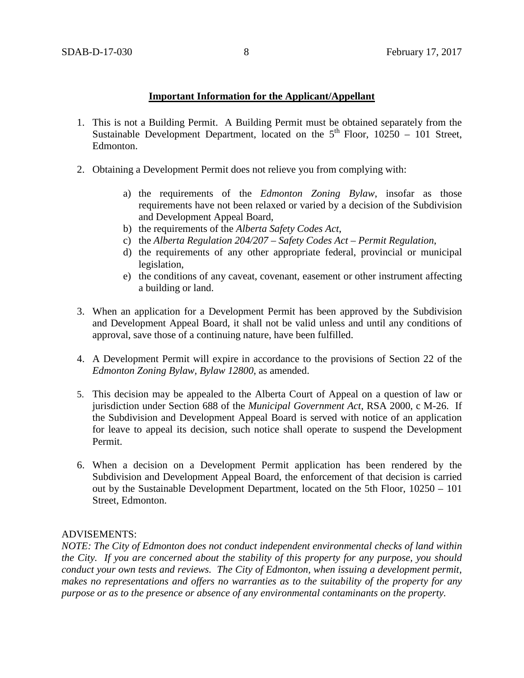### **Important Information for the Applicant/Appellant**

- 1. This is not a Building Permit. A Building Permit must be obtained separately from the Sustainable Development Department, located on the  $5<sup>th</sup>$  Floor, 10250 – 101 Street, Edmonton.
- 2. Obtaining a Development Permit does not relieve you from complying with:
	- a) the requirements of the *Edmonton Zoning Bylaw*, insofar as those requirements have not been relaxed or varied by a decision of the Subdivision and Development Appeal Board,
	- b) the requirements of the *Alberta Safety Codes Act*,
	- c) the *Alberta Regulation 204/207 – Safety Codes Act – Permit Regulation*,
	- d) the requirements of any other appropriate federal, provincial or municipal legislation,
	- e) the conditions of any caveat, covenant, easement or other instrument affecting a building or land.
- 3. When an application for a Development Permit has been approved by the Subdivision and Development Appeal Board, it shall not be valid unless and until any conditions of approval, save those of a continuing nature, have been fulfilled.
- 4. A Development Permit will expire in accordance to the provisions of Section 22 of the *Edmonton Zoning Bylaw, Bylaw 12800*, as amended.
- 5. This decision may be appealed to the Alberta Court of Appeal on a question of law or jurisdiction under Section 688 of the *Municipal Government Act*, RSA 2000, c M-26. If the Subdivision and Development Appeal Board is served with notice of an application for leave to appeal its decision, such notice shall operate to suspend the Development Permit.
- 6. When a decision on a Development Permit application has been rendered by the Subdivision and Development Appeal Board, the enforcement of that decision is carried out by the Sustainable Development Department, located on the 5th Floor, 10250 – 101 Street, Edmonton.

## ADVISEMENTS:

*NOTE: The City of Edmonton does not conduct independent environmental checks of land within the City. If you are concerned about the stability of this property for any purpose, you should conduct your own tests and reviews. The City of Edmonton, when issuing a development permit, makes no representations and offers no warranties as to the suitability of the property for any purpose or as to the presence or absence of any environmental contaminants on the property.*